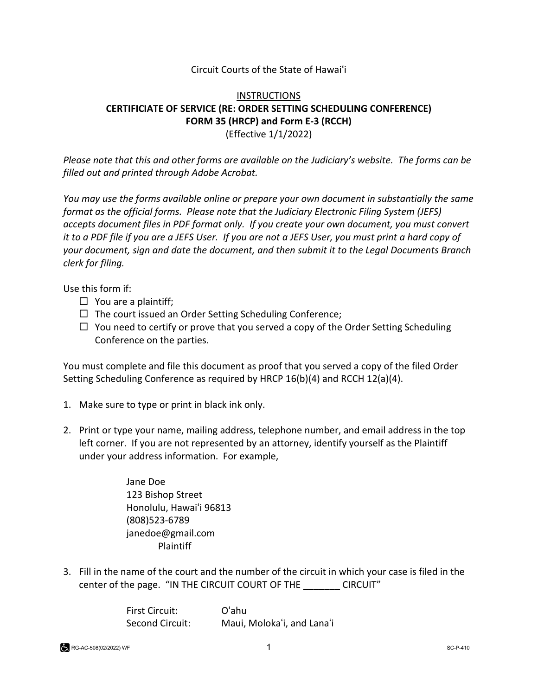## Circuit Courts of the State of Hawaiʻi

## **INSTRUCTIONS CERTIFICIATE OF SERVICE (RE: ORDER SETTING SCHEDULING CONFERENCE) FORM 35 (HRCP) and Form E-3 (RCCH)** (Effective 1/1/2022)

*Please note that this and other forms are available on the Judiciary's website. The forms can be filled out and printed through Adobe Acrobat.* 

*You may use the forms available online or prepare your own document in substantially the same format as the official forms. Please note that the Judiciary Electronic Filing System (JEFS) accepts document files in PDF format only. If you create your own document, you must convert it to a PDF file if you are a JEFS User. If you are not a JEFS User, you must print a hard copy of your document, sign and date the document, and then submit it to the Legal Documents Branch clerk for filing.* 

Use this form if:

- $\Box$  You are a plaintiff;
- $\Box$  The court issued an Order Setting Scheduling Conference;
- $\Box$  You need to certify or prove that you served a copy of the Order Setting Scheduling Conference on the parties.

You must complete and file this document as proof that you served a copy of the filed Order Setting Scheduling Conference as required by HRCP 16(b)(4) and RCCH 12(a)(4).

- 1. Make sure to type or print in black ink only.
- 2. Print or type your name, mailing address, telephone number, and email address in the top left corner. If you are not represented by an attorney, identify yourself as the Plaintiff under your address information. For example,

Jane Doe 123 Bishop Street Honolulu, Hawaiʻi 96813 (808)523-6789 janedoe@gmail.com Plaintiff

3. Fill in the name of the court and the number of the circuit in which your case is filed in the center of the page. "IN THE CIRCUIT COURT OF THE \_\_\_\_\_\_\_ CIRCUIT"

> First Circuit: Oʻahu Second Circuit: Maui, Molokaʻi, and Lanaʻi

RG-AC-508(02/2022) WF SC-P-410